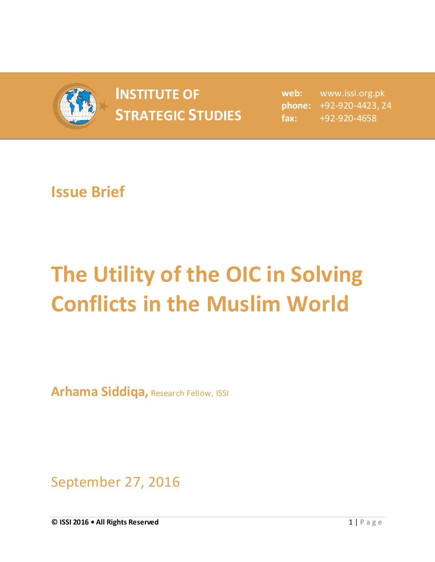

## **INSTITUTE OF STRATEGIC STUDIES**  $\begin{bmatrix} 1 & 0 & 0 \\ 0 & 1 & 0 \\ 0 & 0 & 1 \end{bmatrix}$

**web:** www.issi.org.pk **phone:** +92-920-4423, 24 **fax:** +92-920-4658

## **Issue Brief**

## **The Utility of the OIC in Solving Conflicts in the Muslim World**

**Arhama Siddiqa,** Research Fellow, ISSI

September 27, 2016

**© ISSI 2016 • All Rights Reserved** 1 | P a g e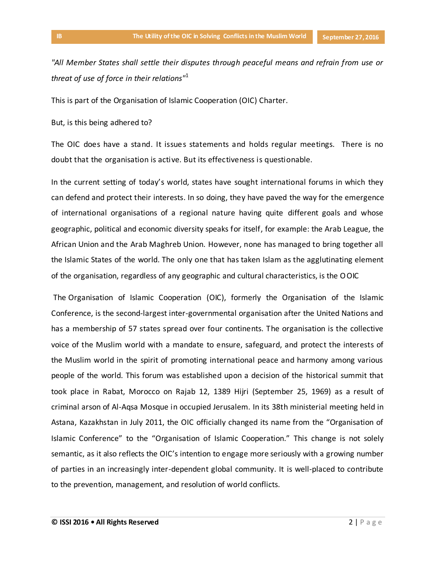*"All Member States shall settle their disputes through peaceful means and refrain from use or threat of use of force in their relations"*<sup>1</sup>

This is part of the Organisation of Islamic Cooperation (OIC) Charter.

But, is this being adhered to?

The OIC does have a stand. It issues statements and holds regular meetings. There is no doubt that the organisation is active. But its effectiveness is questionable.

In the current setting of today's world, states have sought international forums in which they can defend and protect their interests. In so doing, they have paved the way for the emergence of international organisations of a regional nature having quite different goals and whose geographic, political and economic diversity speaks for itself, for example: the Arab League, the African Union and the Arab Maghreb Union. However, none has managed to bring together all the Islamic States of the world. The only one that has taken Islam as the agglutinating element of the organisation, regardless of any geographic and cultural characteristics, is the OOIC

The Organisation of Islamic Cooperation (OIC), formerly the Organisation of the Islamic Conference, is the second-largest inter-governmental organisation after the United Nations and has a membership of 57 states spread over four continents. The organisation is the collective voice of the Muslim world with a mandate to ensure, safeguard, and protect the interests of the Muslim world in the spirit of promoting international peace and harmony among various people of the world. This forum was established upon a decision of the historical summit that took place in Rabat, Morocco on Rajab 12, 1389 Hijri (September 25, 1969) as a result of criminal arson of Al-Aqsa Mosque in occupied Jerusalem. In its 38th ministerial meeting held in Astana, Kazakhstan in July 2011, the OIC officially changed its name from the "Organisation of Islamic Conference" to the "Organisation of Islamic Cooperation." This change is not solely semantic, as it also reflects the OIC's intention to engage more seriously with a growing number of parties in an increasingly inter-dependent global community. It is well-placed to contribute to the prevention, management, and resolution of world conflicts.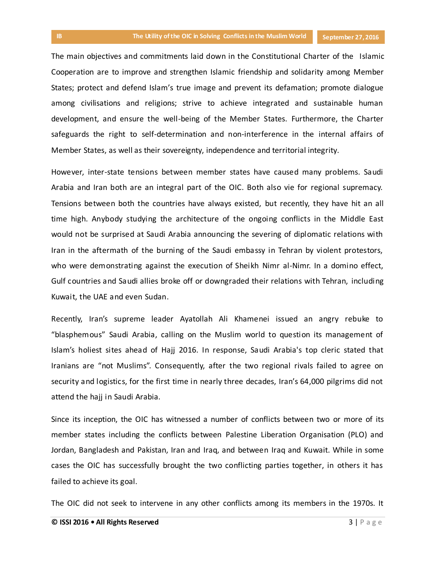The main objectives and commitments laid down in the Constitutional Charter of the Islamic Cooperation are to improve and strengthen Islamic friendship and solidarity among Member States; protect and defend Islam's true image and prevent its defamation; promote dialogue among civilisations and religions; strive to achieve integrated and sustainable human development, and ensure the well-being of the Member States. Furthermore, the Charter safeguards the right to self-determination and non-interference in the internal affairs of Member States, as well as their sovereignty, independence and territorial integrity.

However, inter-state tensions between member states have caused many problems. Saudi Arabia and Iran both are an integral part of the OIC. Both also vie for regional supremacy. Tensions between both the countries have always existed, but recently, they have hit an all time high. Anybody studying the architecture of the ongoing conflicts in the Middle East would not be surprised at Saudi Arabia announcing the severing of diplomatic relations with Iran in the aftermath of the burning of the Saudi embassy in Tehran by violent protestors, who were demonstrating against the execution of [Sheikh Nimr al-Nimr.](http://tribune.com.pk/story/1020735/saudi-arabia-says-47-executed-on-terror-charges-including-shia-cleric/%22%20%5Ct%20%22_blank) In a domino effect, Gulf countries and Saudi allies broke off or downgraded their relations with Tehran, including Kuwait, the UAE and even Sudan.

Recently, Iran's supreme leader Ayatollah Ali Khamenei issued an angry rebuke to "blasphemous" Saudi Arabia, calling on the Muslim world to question its management of Islam's holiest sites ahead of Hajj 2016. In response, Saudi Arabia's top cleric stated that Iranians are "not Muslims". Consequently, after the two regional rivals failed to agree on security and logistics, for the first time in nearly three decades, Iran's 64,000 pilgrims did not attend the hajj in Saudi Arabia.

Since its inception, the OIC has witnessed a number of conflicts between two or more of its member states including the conflicts between Palestine Liberation Organisation (PLO) and Jordan, Bangladesh and Pakistan, Iran and Iraq, and between Iraq and Kuwait. While in some cases the OIC has successfully brought the two conflicting parties together, in others it has failed to achieve its goal.

The OIC did not seek to intervene in any other conflicts among its members in the 1970s. It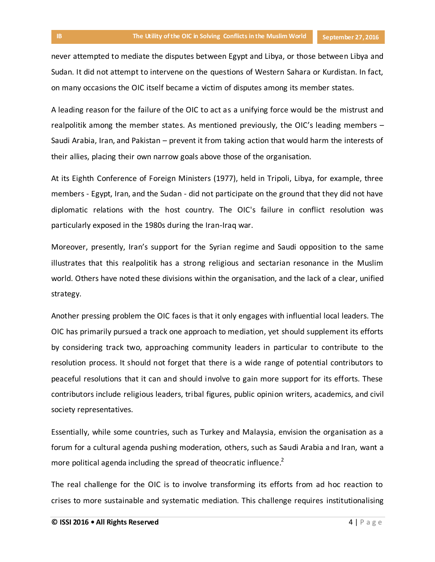never attempted to mediate the disputes between Egypt and Libya, or those between Libya and Sudan. It did not attempt to intervene on the questions of Western Sahara or Kurdistan. In fact, on many occasions the OIC itself became a victim of disputes among its member states.

A leading reason for the failure of the OIC to act as a unifying force would be the mistrust and realpolitik among the member states. As mentioned previously, the OIC's leading members – Saudi Arabia, Iran, and Pakistan – prevent it from taking action that would harm the interests of their allies, placing their own narrow goals above those of the organisation.

At its Eighth Conference of Foreign Ministers (1977), held in Tripoli, Libya, for example, three members - Egypt, Iran, and the Sudan - did not participate on the ground that they did not have diplomatic relations with the host country. The OIC's failure in conflict resolution was particularly exposed in the 1980s during the Iran-Iraq war.

Moreover, presently, Iran's support for the Syrian regime and Saudi opposition to the same illustrates that this realpolitik has a strong religious and sectarian resonance in the Muslim world. Others have noted these divisions within the organisation, and the lack of a clear, unified strategy.

Another pressing problem the OIC faces is that it only engages with influential local leaders. The OIC has primarily pursued a track one approach to mediation, yet should supplement its efforts by considering track two, approaching community leaders in particular to contribute to the resolution process. It should not forget that there is a wide range of potential contributors to peaceful resolutions that it can and should involve to gain more support for its efforts. These contributors include religious leaders, tribal figures, public opinion writers, academics, and civil society representatives.

Essentially, while some countries, such as Turkey and Malaysia, envision the organisation as a forum for a cultural agenda pushing moderation, others, such as Saudi Arabia and Iran, want a more political agenda including the spread of theocratic influence.<sup>2</sup>

The real challenge for the OIC is to involve transforming its efforts from ad hoc reaction to crises to more sustainable and systematic mediation. This challenge requires institutionalising